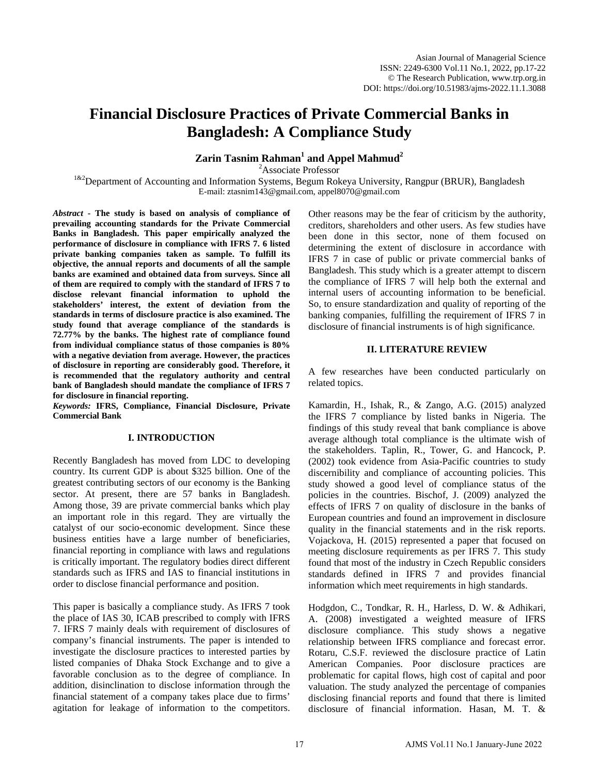# **Financial Disclosure Practices of Private Commercial Banks in Bangladesh: A Compliance Study**

**Zarin Tasnim Rahman<sup>1</sup> and Appel Mahmud<sup>2</sup>**

<sup>2</sup>Associate Professor

<sup>1&2</sup>Department of Accounting and Information Systems, Begum Rokeya University, Rangpur (BRUR), Bangladesh E-mail: ztasnim143@gmail.com, [appel8070@gmail.com](mailto:appel8070@gmail.com)

*Abstract* **- The study is based on analysis of compliance of prevailing accounting standards for the Private Commercial Banks in Bangladesh. This paper empirically analyzed the performance of disclosure in compliance with IFRS 7. 6 listed private banking companies taken as sample. To fulfill its objective, the annual reports and documents of all the sample banks are examined and obtained data from surveys. Since all of them are required to comply with the standard of IFRS 7 to disclose relevant financial information to uphold the stakeholders' interest, the extent of deviation from the standards in terms of disclosure practice is also examined. The study found that average compliance of the standards is 72.77% by the banks. The highest rate of compliance found from individual compliance status of those companies is 80% with a negative deviation from average. However, the practices of disclosure in reporting are considerably good. Therefore, it is recommended that the regulatory authority and central bank of Bangladesh should mandate the compliance of IFRS 7 for disclosure in financial reporting.** 

*Keywords:* **IFRS, Compliance, Financial Disclosure, Private Commercial Bank** 

## **I. INTRODUCTION**

Recently Bangladesh has moved from LDC to developing country. Its current GDP is about \$325 billion. One of the greatest contributing sectors of our economy is the Banking sector. At present, there are 57 banks in Bangladesh. Among those, 39 are private commercial banks which play an important role in this regard. They are virtually the catalyst of our socio-economic development. Since these business entities have a large number of beneficiaries, financial reporting in compliance with laws and regulations is critically important. The regulatory bodies direct different standards such as IFRS and IAS to financial institutions in order to disclose financial performance and position.

This paper is basically a compliance study. As IFRS 7 took the place of IAS 30, ICAB prescribed to comply with IFRS 7. IFRS 7 mainly deals with requirement of disclosures of company's financial instruments. The paper is intended to investigate the disclosure practices to interested parties by listed companies of Dhaka Stock Exchange and to give a favorable conclusion as to the degree of compliance. In addition, disinclination to disclose information through the financial statement of a company takes place due to firms' agitation for leakage of information to the competitors.

Other reasons may be the fear of criticism by the authority, creditors, shareholders and other users. As few studies have been done in this sector, none of them focused on determining the extent of disclosure in accordance with IFRS 7 in case of public or private commercial banks of Bangladesh. This study which is a greater attempt to discern the compliance of IFRS 7 will help both the external and internal users of accounting information to be beneficial. So, to ensure standardization and quality of reporting of the banking companies, fulfilling the requirement of IFRS 7 in disclosure of financial instruments is of high significance.

# **II. LITERATURE REVIEW**

A few researches have been conducted particularly on related topics.

Kamardin, H., Ishak, R., & Zango, A.G. (2015) analyzed the IFRS 7 compliance by listed banks in Nigeria. The findings of this study reveal that bank compliance is above average although total compliance is the ultimate wish of the stakeholders. Taplin, R., Tower, G. and Hancock, P. (2002) took evidence from Asia-Pacific countries to study discernibility and compliance of accounting policies. This study showed a good level of compliance status of the policies in the countries. Bischof, J. (2009) analyzed the effects of IFRS 7 on quality of disclosure in the banks of European countries and found an improvement in disclosure quality in the financial statements and in the risk reports. Vojackova, H. (2015) represented a paper that focused on meeting disclosure requirements as per IFRS 7. This study found that most of the industry in Czech Republic considers standards defined in IFRS 7 and provides financial information which meet requirements in high standards.

Hodgdon, C., Tondkar, R. H., Harless, D. W. & Adhikari, A. (2008) investigated a weighted measure of IFRS disclosure compliance. This study shows a negative relationship between IFRS compliance and forecast error. Rotaru, C.S.F. reviewed the disclosure practice of Latin American Companies. Poor disclosure practices are problematic for capital flows, high cost of capital and poor valuation. The study analyzed the percentage of companies disclosing financial reports and found that there is limited disclosure of financial information. Hasan, M. T. &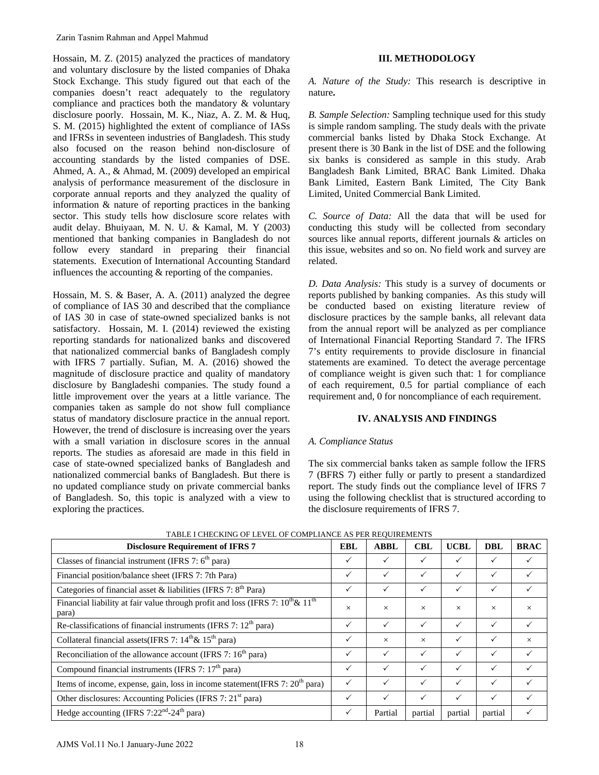Hossain, M. Z. (2015) analyzed the practices of mandatory and voluntary disclosure by the listed companies of Dhaka Stock Exchange. This study figured out that each of the companies doesn't react adequately to the regulatory compliance and practices both the mandatory & voluntary disclosure poorly. Hossain, M. K., Niaz, A. Z. M. & Huq, S. M. (2015) highlighted the extent of compliance of IASs and IFRSs in seventeen industries of Bangladesh. This study also focused on the reason behind non-disclosure of accounting standards by the listed companies of DSE. Ahmed, A. A., & Ahmad, M. (2009) developed an empirical analysis of performance measurement of the disclosure in corporate annual reports and they analyzed the quality of information & nature of reporting practices in the banking sector. This study tells how disclosure score relates with audit delay. Bhuiyaan, M. N. U. & Kamal, M. Y (2003) mentioned that banking companies in Bangladesh do not follow every standard in preparing their financial statements. Execution of International Accounting Standard influences the accounting & reporting of the companies.

Hossain, M. S. & Baser, A. A. (2011) analyzed the degree of compliance of IAS 30 and described that the compliance of IAS 30 in case of state-owned specialized banks is not satisfactory. Hossain, M. I. (2014) reviewed the existing reporting standards for nationalized banks and discovered that nationalized commercial banks of Bangladesh comply with IFRS 7 partially. Sufian, M. A. (2016) showed the magnitude of disclosure practice and quality of mandatory disclosure by Bangladeshi companies. The study found a little improvement over the years at a little variance. The companies taken as sample do not show full compliance status of mandatory disclosure practice in the annual report. However, the trend of disclosure is increasing over the years with a small variation in disclosure scores in the annual reports. The studies as aforesaid are made in this field in case of state-owned specialized banks of Bangladesh and nationalized commercial banks of Bangladesh. But there is no updated compliance study on private commercial banks of Bangladesh. So, this topic is analyzed with a view to exploring the practices. Zarin Tasnim Rahman and Appel Mahmud<br>
Horsain, M. Z. (2015) analy-ped Horsaine contractors of mandatory<br>
Horsaine, M. Z. (2015) analy-ped the principle of the fact comparies of Dhaka<br>
iotok-Exchange. This study figured ot

# **III. METHODOLOGY**

*A. Nature of the Study:* This research is descriptive in nature**.** 

*B. Sample Selection:* Sampling technique used for this study is simple random sampling. The study deals with the private commercial banks listed by Dhaka Stock Exchange. At present there is 30 Bank in the list of DSE and the following six banks is considered as sample in this study. Arab Bangladesh Bank Limited, BRAC Bank Limited. Dhaka Bank Limited, Eastern Bank Limited, The City Bank Limited, United Commercial Bank Limited.

*C. Source of Data:* All the data that will be used for conducting this study will be collected from secondary sources like annual reports, different journals & articles on this issue, websites and so on. No field work and survey are related.

*D. Data Analysis:* This study is a survey of documents or reports published by banking companies. As this study will be conducted based on existing literature review of disclosure practices by the sample banks, all relevant data from the annual report will be analyzed as per compliance of International Financial Reporting Standard 7. The IFRS 7's entity requirements to provide disclosure in financial statements are examined. To detect the average percentage of compliance weight is given such that: 1 for compliance of each requirement, 0.5 for partial compliance of each requirement and, 0 for noncompliance of each requirement.

# **IV. ANALYSIS AND FINDINGS**

# *A. Compliance Status*

The six commercial banks taken as sample follow the IFRS 7 (BFRS 7) either fully or partly to present a standardized report. The study finds out the compliance level of IFRS 7 using the following checklist that is structured according to the disclosure requirements of IFRS 7.

| <b>Disclosure Requirement of IFRS 7</b>                                                          | <b>EBL</b>   | <b>ABBL</b>  | $\bf CBL$ | <b>UCBL</b>  | <b>DBL</b>   | <b>BRAC</b> |
|--------------------------------------------------------------------------------------------------|--------------|--------------|-----------|--------------|--------------|-------------|
| Classes of financial instrument (IFRS 7: $6th$ para)                                             | $\checkmark$ |              |           |              |              |             |
| Financial position/balance sheet (IFRS 7: 7th Para)                                              | $\checkmark$ | ✓            |           | ✓            | $\checkmark$ |             |
| Categories of financial asset & liabilities (IFRS 7: 8 <sup>th</sup> Para)                       |              | $\checkmark$ | ✓         | ✓            | $\checkmark$ |             |
| Financial liability at fair value through profit and loss (IFRS 7: $10^{th} \& 11^{th}$<br>para) | $\times$     | $\times$     | $\times$  | $\times$     | $\times$     | $\times$    |
| Re-classifications of financial instruments (IFRS 7: 12 <sup>th</sup> para)                      | ✓            | $\checkmark$ | ✓         | ✓            | $\checkmark$ |             |
| Collateral financial assets (IFRS 7: $14^{\text{th}} \& 15^{\text{th}}$ para)                    | ✓            | $\times$     | $\times$  | ✓            |              | $\times$    |
| Reconciliation of the allowance account (IFRS 7: $16th$ para)                                    | $\checkmark$ | $\checkmark$ |           | ✓            |              |             |
| Compound financial instruments (IFRS 7: 17 <sup>th</sup> para)                                   | ✓            | ✓            |           | ✓            |              |             |
| Items of income, expense, gain, loss in income statement(IFRS 7: 20 <sup>th</sup> para)          |              | ✓            |           | $\checkmark$ |              |             |
| Other disclosures: Accounting Policies (IFRS 7: 21 <sup>st</sup> para)                           |              | $\checkmark$ | ✓         | ✓            |              |             |
| Hedge accounting (IFRS 7:22 <sup>nd</sup> -24 <sup>th</sup> para)                                |              | Partial      | partial   | partial      | partial      |             |

TABLE I CHECKING OF LEVEL OF COMPLIANCE AS PER REQUIREMENTS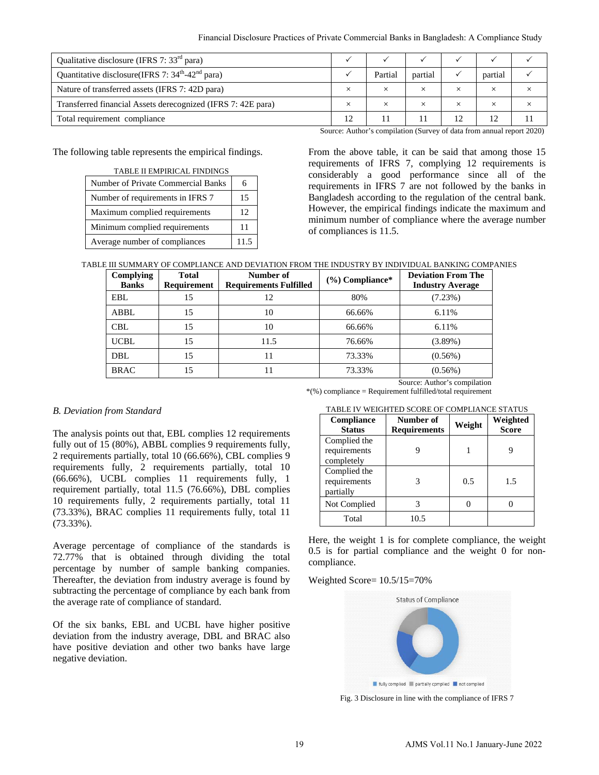| Qualitative disclosure (IFRS 7: $33rd$ para)                             |          |          |          |         |  |
|--------------------------------------------------------------------------|----------|----------|----------|---------|--|
| Quantitative disclosure(IFRS 7: $34^{\text{th}}$ -42 <sup>nd</sup> para) | Partial  | partial  |          | partial |  |
| Nature of transferred assets (IFRS 7: 42D para)                          |          | $\times$ |          |         |  |
| Transferred financial Assets derecognized (IFRS 7: 42E para)             | $\times$ | $\times$ | $\times$ |         |  |
| Total requirement compliance                                             |          |          |          |         |  |

The following table represents the empirical findings.

| <b>TABLE II EMPIRICAL FINDINGS</b> |      |  |  |
|------------------------------------|------|--|--|
| Number of Private Commercial Banks | 6    |  |  |
| Number of requirements in IFRS 7   | 15   |  |  |
| Maximum complied requirements      | 12   |  |  |
| Minimum complied requirements      | 11   |  |  |
| Average number of compliances      | 11.5 |  |  |

|  | TABLE III SUMMARY OF COMPLIANCE AND DEVIATION FROM THE INDUSTRY BY INDIVIDUAL BANKING COMPANIES |
|--|-------------------------------------------------------------------------------------------------|
|  |                                                                                                 |

|                                                                                                                                                 |                                                                 | Financial Disclosure Practices of Private Commercial Banks in Bangladesh: A Compliance Study                                                                                        |              |                                                                                                                                                                     |                                                                         |                                                                              |                  |                  |          |
|-------------------------------------------------------------------------------------------------------------------------------------------------|-----------------------------------------------------------------|-------------------------------------------------------------------------------------------------------------------------------------------------------------------------------------|--------------|---------------------------------------------------------------------------------------------------------------------------------------------------------------------|-------------------------------------------------------------------------|------------------------------------------------------------------------------|------------------|------------------|----------|
| lisclosure (IFRS 7: 33 <sup>rd</sup> para)                                                                                                      |                                                                 |                                                                                                                                                                                     | $\checkmark$ | $\checkmark$                                                                                                                                                        | $\checkmark$                                                            | $\checkmark$                                                                 | $\checkmark$     | $\checkmark$     |          |
| disclosure(IFRS 7: 34 <sup>th</sup> -42 <sup>nd</sup> para)                                                                                     |                                                                 |                                                                                                                                                                                     | $\checkmark$ | Partial                                                                                                                                                             | partial                                                                 | $\checkmark$                                                                 | partial          | $\checkmark$     |          |
| nsferred assets (IFRS 7: 42D para)                                                                                                              |                                                                 |                                                                                                                                                                                     | $\times$     | $\times$                                                                                                                                                            | $\times$                                                                | $\times$                                                                     | $\times$         | $\times$         |          |
|                                                                                                                                                 | financial Assets derecognized (IFRS 7: 42E para)                |                                                                                                                                                                                     |              | $\times$                                                                                                                                                            | $\times$                                                                | $\times$                                                                     | $\times$         | $\times$         | $\times$ |
| ment compliance                                                                                                                                 |                                                                 |                                                                                                                                                                                     |              | 12                                                                                                                                                                  | 11                                                                      | 11                                                                           | 12               | 12               | 11       |
|                                                                                                                                                 |                                                                 |                                                                                                                                                                                     |              |                                                                                                                                                                     |                                                                         | Source: Author's compilation (Survey of data from annual report 2020         |                  |                  |          |
|                                                                                                                                                 | ig table represents the empirical findings.                     |                                                                                                                                                                                     |              | From the above table, it can be said that among those 1<br>requirements of IFRS 7, complying 12 requirements i                                                      |                                                                         |                                                                              |                  |                  |          |
|                                                                                                                                                 | TABLE II EMPIRICAL FINDINGS<br>mber of Private Commercial Banks | 6                                                                                                                                                                                   |              | considerably a good performance since all of th                                                                                                                     |                                                                         |                                                                              |                  |                  |          |
|                                                                                                                                                 | mber of requirements in IFRS 7                                  | 15                                                                                                                                                                                  |              | requirements in IFRS 7 are not followed by the banks in<br>Bangladesh according to the regulation of the central bank                                               |                                                                         |                                                                              |                  |                  |          |
|                                                                                                                                                 |                                                                 |                                                                                                                                                                                     |              | However, the empirical findings indicate the maximum and                                                                                                            |                                                                         |                                                                              |                  |                  |          |
|                                                                                                                                                 | ximum complied requirements                                     | 12                                                                                                                                                                                  |              | minimum number of compliance where the average numbe                                                                                                                |                                                                         |                                                                              |                  |                  |          |
| nimum complied requirements                                                                                                                     |                                                                 | 11                                                                                                                                                                                  |              | of compliances is 11.5.                                                                                                                                             |                                                                         |                                                                              |                  |                  |          |
| erage number of compliances                                                                                                                     |                                                                 | 11.5                                                                                                                                                                                |              |                                                                                                                                                                     |                                                                         |                                                                              |                  |                  |          |
|                                                                                                                                                 |                                                                 | E III SUMMARY OF COMPLIANCE AND DEVIATION FROM THE INDUSTRY BY INDIVIDUAL BANKING COMPANIES                                                                                         |              |                                                                                                                                                                     |                                                                         |                                                                              |                  |                  |          |
| Complying<br><b>Banks</b>                                                                                                                       | <b>Total</b><br>Requirement                                     | Number of<br><b>Requirements Fulfilled</b>                                                                                                                                          |              |                                                                                                                                                                     | <b>Deviation From The</b><br>(%) Compliance*<br><b>Industry Average</b> |                                                                              |                  |                  |          |
| <b>EBL</b>                                                                                                                                      | 15                                                              | 12                                                                                                                                                                                  |              | 80%                                                                                                                                                                 |                                                                         |                                                                              | (7.23%)          |                  |          |
| ABBL                                                                                                                                            | 15                                                              | 10                                                                                                                                                                                  |              | 66.66%                                                                                                                                                              |                                                                         |                                                                              | 6.11%            |                  |          |
| <b>CBL</b>                                                                                                                                      | 15                                                              | 10                                                                                                                                                                                  |              | 66.66%                                                                                                                                                              |                                                                         | 6.11%                                                                        |                  |                  |          |
| <b>UCBL</b>                                                                                                                                     | 15                                                              | 11.5                                                                                                                                                                                |              | 76.66%                                                                                                                                                              |                                                                         | $(3.89\%)$                                                                   |                  |                  |          |
| <b>DBL</b>                                                                                                                                      | 15                                                              | 11                                                                                                                                                                                  |              | 73.33%                                                                                                                                                              |                                                                         |                                                                              | $(0.56\%)$       |                  |          |
| <b>BRAC</b>                                                                                                                                     | 15                                                              | 11                                                                                                                                                                                  |              | 73.33%                                                                                                                                                              |                                                                         | $(0.56\%)$                                                                   |                  |                  |          |
| from Standard                                                                                                                                   |                                                                 |                                                                                                                                                                                     |              | *(%) compliance = Requirement fulfilled/total requirement                                                                                                           |                                                                         | Source: Author's compilation<br>TABLE IV WEIGHTED SCORE OF COMPLIANCE STATUS |                  |                  |          |
|                                                                                                                                                 |                                                                 |                                                                                                                                                                                     |              | Compliance                                                                                                                                                          |                                                                         | Number of                                                                    | Weight           | Weighted         |          |
|                                                                                                                                                 |                                                                 | points out that, EBL complies 12 requirements                                                                                                                                       |              | <b>Status</b><br>Complied the                                                                                                                                       |                                                                         | <b>Requirements</b>                                                          |                  | <b>Score</b>     |          |
|                                                                                                                                                 |                                                                 | 15 (80%), ABBL complies 9 requirements fully,<br>nts partially, total 10 (66.66%), CBL complies 9                                                                                   |              | requirements                                                                                                                                                        |                                                                         | 9                                                                            | $\mathbf{1}$     | 9                |          |
|                                                                                                                                                 |                                                                 | s fully, 2 requirements partially, total 10                                                                                                                                         |              | completely<br>Complied the                                                                                                                                          |                                                                         |                                                                              |                  |                  |          |
|                                                                                                                                                 |                                                                 | UCBL complies 11 requirements fully, 1                                                                                                                                              |              | requirements                                                                                                                                                        |                                                                         | 3                                                                            | 0.5              | 1.5              |          |
|                                                                                                                                                 |                                                                 | partially, total 11.5 (76.66%), DBL complies                                                                                                                                        |              | partially                                                                                                                                                           |                                                                         |                                                                              |                  |                  |          |
| ents fully, 2 requirements partially, total 11<br>RAC complies 11 requirements fully, total 11                                                  |                                                                 |                                                                                                                                                                                     |              | Not Complied                                                                                                                                                        |                                                                         | 3                                                                            | $\boldsymbol{0}$ | $\boldsymbol{0}$ |          |
|                                                                                                                                                 |                                                                 |                                                                                                                                                                                     |              | Total<br>10.5                                                                                                                                                       |                                                                         |                                                                              |                  |                  |          |
|                                                                                                                                                 |                                                                 | rcentage of compliance of the standards is<br>at is obtained through dividing the total<br>by number of sample banking companies.<br>he deviation from industry average is found by |              | Here, the weight 1 is for complete compliance, the weight<br>0.5 is for partial compliance and the weight 0 for non<br>compliance.<br>Weighted Score= $10.5/15=70%$ |                                                                         |                                                                              |                  |                  |          |
| he percentage of compliance by each bank from<br>rate of compliance of standard.                                                                |                                                                 |                                                                                                                                                                                     |              | <b>Status of Compliance</b>                                                                                                                                         |                                                                         |                                                                              |                  |                  |          |
| banks, EBL and UCBL have higher positive<br>om the industry average, DBL and BRAC also<br>e deviation and other two banks have large<br>iation. |                                                                 |                                                                                                                                                                                     |              |                                                                                                                                                                     |                                                                         |                                                                              |                  |                  |          |
|                                                                                                                                                 |                                                                 |                                                                                                                                                                                     |              |                                                                                                                                                                     |                                                                         | In fully complied in partially cpmplied in not complied                      |                  |                  |          |
|                                                                                                                                                 |                                                                 |                                                                                                                                                                                     |              |                                                                                                                                                                     |                                                                         | Fig. 3 Disclosure in line with the compliance of IFRS 7                      |                  |                  |          |
|                                                                                                                                                 |                                                                 |                                                                                                                                                                                     |              |                                                                                                                                                                     |                                                                         |                                                                              |                  |                  |          |
|                                                                                                                                                 |                                                                 |                                                                                                                                                                                     | 19           |                                                                                                                                                                     |                                                                         | AJMS Vol.11 No.1 January-June 2022                                           |                  |                  |          |

#### *B. Deviation from Standard*

The analysis points out that, EBL complies 12 requirements fully out of 15 (80%), ABBL complies 9 requirements fully, 2 requirements partially, total 10 (66.66%), CBL complies 9 requirements fully, 2 requirements partially, total 10 (66.66%), UCBL complies 11 requirements fully, 1 requirement partially, total 11.5 (76.66%), DBL complies 10 requirements fully, 2 requirements partially, total 11 (73.33%), BRAC complies 11 requirements fully, total 11 (73.33%).

Average percentage of compliance of the standards is 72.77% that is obtained through dividing the total percentage by number of sample banking companies. Thereafter, the deviation from industry average is found by subtracting the percentage of compliance by each bank from the average rate of compliance of standard.

Of the six banks, EBL and UCBL have higher positive deviation from the industry average, DBL and BRAC also have positive deviation and other two banks have large negative deviation.

| <b>Compliance</b><br><b>Status</b>         | Number of<br><b>Requirements</b> | Weight | Weighted<br><b>Score</b> |
|--------------------------------------------|----------------------------------|--------|--------------------------|
| Complied the<br>requirements<br>completely |                                  |        |                          |
| Complied the<br>requirements<br>partially  | 3                                | 0.5    | 1.5                      |
| Not Complied                               |                                  |        |                          |
| Total                                      | 10.5                             |        |                          |



Fig. 3 Disclosure in line with the compliance of IFRS 7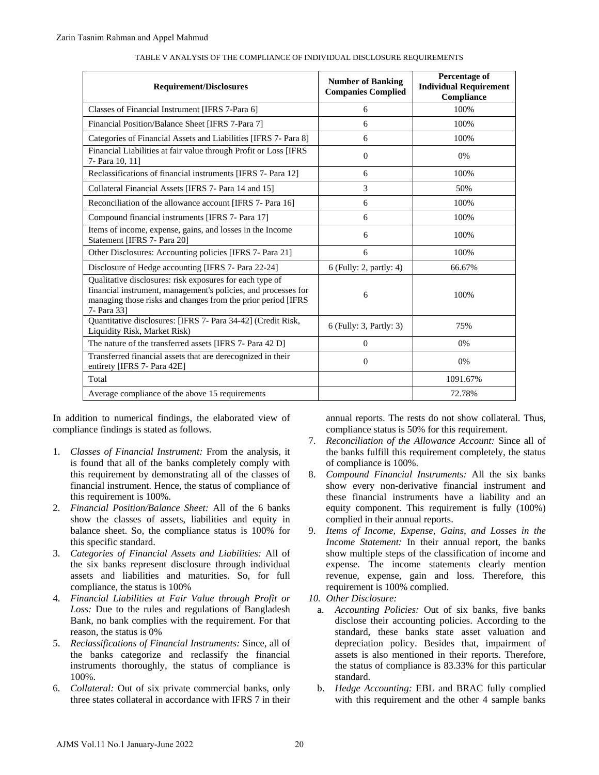| <b>Requirement/Disclosures</b>                                                                                                                                                                                                                                                                                                                                                                                                                                                                                                                                                                                                                                                                                                                                                                                                                                                                                                                                                                                                                                                                                                                                                                                                                                                                             |          | <b>Number of Banking</b><br><b>Companies Complied</b>                                                                                                                                                                                                                                                                                                                                                                                                                                                                                                                                                                                                                                                                                                                                                                                                                                                                                                                                                                                                                                                                                                                                              | Percentage of<br><b>Individual Requirement</b><br>Compliance |  |
|------------------------------------------------------------------------------------------------------------------------------------------------------------------------------------------------------------------------------------------------------------------------------------------------------------------------------------------------------------------------------------------------------------------------------------------------------------------------------------------------------------------------------------------------------------------------------------------------------------------------------------------------------------------------------------------------------------------------------------------------------------------------------------------------------------------------------------------------------------------------------------------------------------------------------------------------------------------------------------------------------------------------------------------------------------------------------------------------------------------------------------------------------------------------------------------------------------------------------------------------------------------------------------------------------------|----------|----------------------------------------------------------------------------------------------------------------------------------------------------------------------------------------------------------------------------------------------------------------------------------------------------------------------------------------------------------------------------------------------------------------------------------------------------------------------------------------------------------------------------------------------------------------------------------------------------------------------------------------------------------------------------------------------------------------------------------------------------------------------------------------------------------------------------------------------------------------------------------------------------------------------------------------------------------------------------------------------------------------------------------------------------------------------------------------------------------------------------------------------------------------------------------------------------|--------------------------------------------------------------|--|
| Classes of Financial Instrument [IFRS 7-Para 6]                                                                                                                                                                                                                                                                                                                                                                                                                                                                                                                                                                                                                                                                                                                                                                                                                                                                                                                                                                                                                                                                                                                                                                                                                                                            |          | 6                                                                                                                                                                                                                                                                                                                                                                                                                                                                                                                                                                                                                                                                                                                                                                                                                                                                                                                                                                                                                                                                                                                                                                                                  | 100%                                                         |  |
| Financial Position/Balance Sheet [IFRS 7-Para 7]                                                                                                                                                                                                                                                                                                                                                                                                                                                                                                                                                                                                                                                                                                                                                                                                                                                                                                                                                                                                                                                                                                                                                                                                                                                           |          | 6                                                                                                                                                                                                                                                                                                                                                                                                                                                                                                                                                                                                                                                                                                                                                                                                                                                                                                                                                                                                                                                                                                                                                                                                  | 100%                                                         |  |
| Categories of Financial Assets and Liabilities [IFRS 7- Para 8]                                                                                                                                                                                                                                                                                                                                                                                                                                                                                                                                                                                                                                                                                                                                                                                                                                                                                                                                                                                                                                                                                                                                                                                                                                            |          | 6                                                                                                                                                                                                                                                                                                                                                                                                                                                                                                                                                                                                                                                                                                                                                                                                                                                                                                                                                                                                                                                                                                                                                                                                  | 100%                                                         |  |
| Financial Liabilities at fair value through Profit or Loss [IFRS<br>7- Para 10, 11]                                                                                                                                                                                                                                                                                                                                                                                                                                                                                                                                                                                                                                                                                                                                                                                                                                                                                                                                                                                                                                                                                                                                                                                                                        |          | $\boldsymbol{0}$                                                                                                                                                                                                                                                                                                                                                                                                                                                                                                                                                                                                                                                                                                                                                                                                                                                                                                                                                                                                                                                                                                                                                                                   | 0%                                                           |  |
| Reclassifications of financial instruments [IFRS 7- Para 12]                                                                                                                                                                                                                                                                                                                                                                                                                                                                                                                                                                                                                                                                                                                                                                                                                                                                                                                                                                                                                                                                                                                                                                                                                                               |          | 6                                                                                                                                                                                                                                                                                                                                                                                                                                                                                                                                                                                                                                                                                                                                                                                                                                                                                                                                                                                                                                                                                                                                                                                                  | 100%                                                         |  |
| Collateral Financial Assets [IFRS 7- Para 14 and 15]                                                                                                                                                                                                                                                                                                                                                                                                                                                                                                                                                                                                                                                                                                                                                                                                                                                                                                                                                                                                                                                                                                                                                                                                                                                       |          | 3                                                                                                                                                                                                                                                                                                                                                                                                                                                                                                                                                                                                                                                                                                                                                                                                                                                                                                                                                                                                                                                                                                                                                                                                  | 50%                                                          |  |
| Reconciliation of the allowance account [IFRS 7- Para 16]                                                                                                                                                                                                                                                                                                                                                                                                                                                                                                                                                                                                                                                                                                                                                                                                                                                                                                                                                                                                                                                                                                                                                                                                                                                  |          | 6                                                                                                                                                                                                                                                                                                                                                                                                                                                                                                                                                                                                                                                                                                                                                                                                                                                                                                                                                                                                                                                                                                                                                                                                  | 100%                                                         |  |
| Compound financial instruments [IFRS 7- Para 17]                                                                                                                                                                                                                                                                                                                                                                                                                                                                                                                                                                                                                                                                                                                                                                                                                                                                                                                                                                                                                                                                                                                                                                                                                                                           |          | 6                                                                                                                                                                                                                                                                                                                                                                                                                                                                                                                                                                                                                                                                                                                                                                                                                                                                                                                                                                                                                                                                                                                                                                                                  | 100%                                                         |  |
| Items of income, expense, gains, and losses in the Income<br>Statement [IFRS 7- Para 20]                                                                                                                                                                                                                                                                                                                                                                                                                                                                                                                                                                                                                                                                                                                                                                                                                                                                                                                                                                                                                                                                                                                                                                                                                   |          | 6                                                                                                                                                                                                                                                                                                                                                                                                                                                                                                                                                                                                                                                                                                                                                                                                                                                                                                                                                                                                                                                                                                                                                                                                  | 100%                                                         |  |
| Other Disclosures: Accounting policies [IFRS 7- Para 21]                                                                                                                                                                                                                                                                                                                                                                                                                                                                                                                                                                                                                                                                                                                                                                                                                                                                                                                                                                                                                                                                                                                                                                                                                                                   |          | 6                                                                                                                                                                                                                                                                                                                                                                                                                                                                                                                                                                                                                                                                                                                                                                                                                                                                                                                                                                                                                                                                                                                                                                                                  | 100%                                                         |  |
| Disclosure of Hedge accounting [IFRS 7- Para 22-24]                                                                                                                                                                                                                                                                                                                                                                                                                                                                                                                                                                                                                                                                                                                                                                                                                                                                                                                                                                                                                                                                                                                                                                                                                                                        |          | 6 (Fully: 2, partly: 4)                                                                                                                                                                                                                                                                                                                                                                                                                                                                                                                                                                                                                                                                                                                                                                                                                                                                                                                                                                                                                                                                                                                                                                            | 66.67%                                                       |  |
| Qualitative disclosures: risk exposures for each type of<br>financial instrument, management's policies, and processes for<br>managing those risks and changes from the prior period [IFRS<br>7- Para 33]                                                                                                                                                                                                                                                                                                                                                                                                                                                                                                                                                                                                                                                                                                                                                                                                                                                                                                                                                                                                                                                                                                  |          | 6                                                                                                                                                                                                                                                                                                                                                                                                                                                                                                                                                                                                                                                                                                                                                                                                                                                                                                                                                                                                                                                                                                                                                                                                  | 100%                                                         |  |
| Quantitative disclosures: [IFRS 7- Para 34-42] (Credit Risk,<br>Liquidity Risk, Market Risk)                                                                                                                                                                                                                                                                                                                                                                                                                                                                                                                                                                                                                                                                                                                                                                                                                                                                                                                                                                                                                                                                                                                                                                                                               |          | 6 (Fully: 3, Partly: 3)                                                                                                                                                                                                                                                                                                                                                                                                                                                                                                                                                                                                                                                                                                                                                                                                                                                                                                                                                                                                                                                                                                                                                                            | 75%                                                          |  |
| The nature of the transferred assets [IFRS 7- Para 42 D]                                                                                                                                                                                                                                                                                                                                                                                                                                                                                                                                                                                                                                                                                                                                                                                                                                                                                                                                                                                                                                                                                                                                                                                                                                                   |          | $\overline{0}$                                                                                                                                                                                                                                                                                                                                                                                                                                                                                                                                                                                                                                                                                                                                                                                                                                                                                                                                                                                                                                                                                                                                                                                     | $0\%$                                                        |  |
| Transferred financial assets that are derecognized in their<br>entirety [IFRS 7- Para 42E]                                                                                                                                                                                                                                                                                                                                                                                                                                                                                                                                                                                                                                                                                                                                                                                                                                                                                                                                                                                                                                                                                                                                                                                                                 |          | $\boldsymbol{0}$                                                                                                                                                                                                                                                                                                                                                                                                                                                                                                                                                                                                                                                                                                                                                                                                                                                                                                                                                                                                                                                                                                                                                                                   | 0%                                                           |  |
| Total                                                                                                                                                                                                                                                                                                                                                                                                                                                                                                                                                                                                                                                                                                                                                                                                                                                                                                                                                                                                                                                                                                                                                                                                                                                                                                      |          |                                                                                                                                                                                                                                                                                                                                                                                                                                                                                                                                                                                                                                                                                                                                                                                                                                                                                                                                                                                                                                                                                                                                                                                                    | 1091.67%                                                     |  |
| Average compliance of the above 15 requirements                                                                                                                                                                                                                                                                                                                                                                                                                                                                                                                                                                                                                                                                                                                                                                                                                                                                                                                                                                                                                                                                                                                                                                                                                                                            |          |                                                                                                                                                                                                                                                                                                                                                                                                                                                                                                                                                                                                                                                                                                                                                                                                                                                                                                                                                                                                                                                                                                                                                                                                    | 72.78%                                                       |  |
| n addition to numerical findings, the elaborated view of<br>ompliance findings is stated as follows.<br>Classes of Financial Instrument: From the analysis, it<br>is found that all of the banks completely comply with<br>this requirement by demonstrating all of the classes of<br>financial instrument. Hence, the status of compliance of<br>this requirement is 100%.<br>Financial Position/Balance Sheet: All of the 6 banks<br>show the classes of assets, liabilities and equity in<br>balance sheet. So, the compliance status is 100% for<br>this specific standard.<br>Categories of Financial Assets and Liabilities: All of<br>the six banks represent disclosure through individual<br>assets and liabilities and maturities. So, for full<br>compliance, the status is 100%<br>Financial Liabilities at Fair Value through Profit or<br>Loss: Due to the rules and regulations of Bangladesh<br>Bank, no bank complies with the requirement. For that<br>reason, the status is 0%<br>Reclassifications of Financial Instruments: Since, all of<br>the banks categorize and reclassify the financial<br>instruments thoroughly, the status of compliance is<br>100%.<br>Collateral: Out of six private commercial banks, only<br>three states collateral in accordance with IFRS 7 in their | 7.<br>9. | annual reports. The rests do not show collateral<br>compliance status is 50% for this requirement.<br>Reconciliation of the Allowance Account: Sinc<br>the banks fulfill this requirement completely, th<br>of compliance is 100%.<br>8. Compound Financial Instruments: All the six<br>show every non-derivative financial instrume<br>these financial instruments have a liability<br>equity component. This requirement is fully<br>complied in their annual reports.<br>Items of Income, Expense, Gains, and Losses<br>Income Statement: In their annual report, the<br>show multiple steps of the classification of inco<br>expense. The income statements clearly r<br>revenue, expense, gain and loss. Therefor<br>requirement is 100% complied.<br>10. Other Disclosure:<br>Accounting Policies: Out of six banks, five<br>a.<br>disclose their accounting policies. According<br>standard, these banks state asset valuation<br>depreciation policy. Besides that, impairm<br>assets is also mentioned in their reports. The<br>the status of compliance is 83.33% for this pa<br>standard.<br>b. Hedge Accounting: EBL and BRAC fully co<br>with this requirement and the other 4 sample |                                                              |  |

#### TABLE V ANALYSIS OF THE COMPLIANCE OF INDIVIDUAL DISCLOSURE REQUIREMENTS

- 1. *Classes of Financial Instrument:* From the analysis, it is found that all of the banks completely comply with this requirement by demonstrating all of the classes of financial instrument. Hence, the status of compliance of this requirement is 100%.
- 2. *Financial Position/Balance Sheet:* All of the 6 banks show the classes of assets, liabilities and equity in balance sheet. So, the compliance status is 100% for this specific standard.
- 3. *Categories of Financial Assets and Liabilities:* All of the six banks represent disclosure through individual assets and liabilities and maturities. So, for full compliance, the status is 100%
- 4. *Financial Liabilities at Fair Value through Profit or Loss:* Due to the rules and regulations of Bangladesh Bank, no bank complies with the requirement. For that reason, the status is 0%
- 5. *Reclassifications of Financial Instruments:* Since, all of the banks categorize and reclassify the financial instruments thoroughly, the status of compliance is 100%.
- 6. *Collateral:* Out of six private commercial banks, only three states collateral in accordance with IFRS 7 in their

annual reports. The rests do not show collateral. Thus, compliance status is 50% for this requirement.

- 7. *Reconciliation of the Allowance Account:* Since all of the banks fulfill this requirement completely, the status of compliance is 100%.
- 8. *Compound Financial Instruments:* All the six banks show every non-derivative financial instrument and these financial instruments have a liability and an equity component. This requirement is fully (100%) complied in their annual reports.
- 9. *Items of Income, Expense, Gains, and Losses in the Income Statement:* In their annual report, the banks show multiple steps of the classification of income and expense. The income statements clearly mention revenue, expense, gain and loss. Therefore, this requirement is 100% complied.
- *10. Other Disclosure:*
	- a. *Accounting Policies:* Out of six banks, five banks disclose their accounting policies. According to the standard, these banks state asset valuation and depreciation policy. Besides that, impairment of assets is also mentioned in their reports. Therefore, the status of compliance is 83.33% for this particular standard.
	- b. *Hedge Accounting:* EBL and BRAC fully complied with this requirement and the other 4 sample banks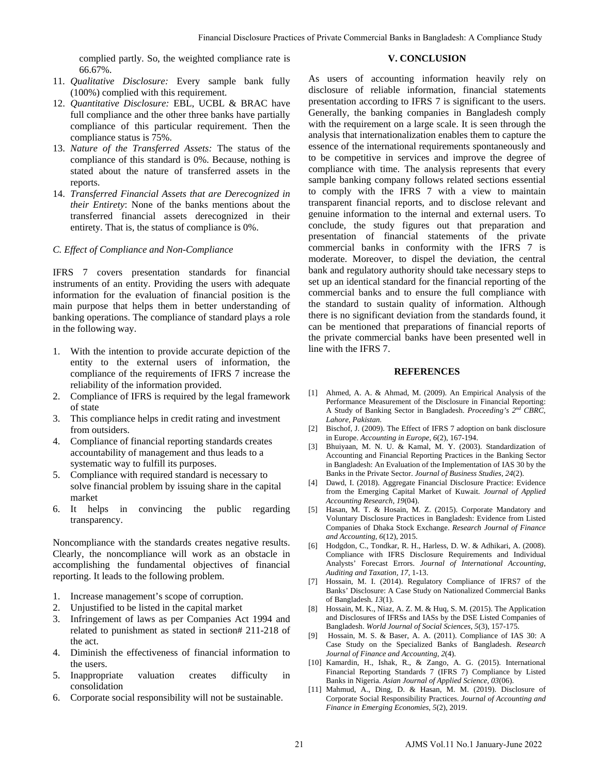complied partly. So, the weighted compliance rate is 66.67%.

# **V. CONCLUSION**

- 11. *Qualitative Disclosure:* Every sample bank fully (100%) complied with this requirement.
- 12. *Quantitative Disclosure:* EBL, UCBL & BRAC have full compliance and the other three banks have partially compliance of this particular requirement. Then the compliance status is 75%.
- 13. *Nature of the Transferred Assets:* The status of the compliance of this standard is 0%. Because, nothing is stated about the nature of transferred assets in the reports.
- 14. *Transferred Financial Assets that are Derecognized in their Entirety*: None of the banks mentions about the transferred financial assets derecognized in their entirety. That is, the status of compliance is 0%.

## *C. Effect of Compliance and Non-Compliance*

IFRS 7 covers presentation standards for financial instruments of an entity. Providing the users with adequate information for the evaluation of financial position is the main purpose that helps them in better understanding of banking operations. The compliance of standard plays a role in the following way.

- 1. With the intention to provide accurate depiction of the entity to the external users of information, the compliance of the requirements of IFRS 7 increase the reliability of the information provided.
- 2. Compliance of IFRS is required by the legal framework of state
- 3. This compliance helps in credit rating and investment from outsiders.
- 4. Compliance of financial reporting standards creates accountability of management and thus leads to a systematic way to fulfill its purposes.
- 5. Compliance with required standard is necessary to solve financial problem by issuing share in the capital market
- 6. It helps in convincing the public regarding transparency.

Noncompliance with the standards creates negative results. Clearly, the noncompliance will work as an obstacle in accomplishing the fundamental objectives of financial reporting. It leads to the following problem.

- 1. Increase management's scope of corruption.
- 2. Unjustified to be listed in the capital market
- 3. Infringement of laws as per Companies Act 1994 and related to punishment as stated in section# 211-218 of the act.
- 4. Diminish the effectiveness of financial information to the users.
- 5. Inappropriate valuation creates difficulty in consolidation
- 6. Corporate social responsibility will not be sustainable.

As users of accounting information heavily rely on disclosure of reliable information, financial statements presentation according to IFRS 7 is significant to the users. Generally, the banking companies in Bangladesh comply with the requirement on a large scale. It is seen through the analysis that internationalization enables them to capture the essence of the international requirements spontaneously and to be competitive in services and improve the degree of compliance with time. The analysis represents that every sample banking company follows related sections essential to comply with the IFRS 7 with a view to maintain transparent financial reports, and to disclose relevant and genuine information to the internal and external users. To conclude, the study figures out that preparation and presentation of financial statements of the private commercial banks in conformity with the IFRS 7 is moderate. Moreover, to dispel the deviation, the central bank and regulatory authority should take necessary steps to set up an identical standard for the financial reporting of the commercial banks and to ensure the full compliance with the standard to sustain quality of information. Although there is no significant deviation from the standards found, it can be mentioned that preparations of financial reports of the private commercial banks have been presented well in line with the IFRS 7. Franceial Decisions of Financial Pieces of Private Commercial Pieces of Private Commercial Disclosure Constitution contains interesting to the set of the set of President Commercial Studients of Financial Studients of Pri

## **REFERENCES**

- [1] Ahmed, A. A. & Ahmad, M. (2009). An Empirical Analysis of the Performance Measurement of the Disclosure in Financial Reporting: A Study of Banking Sector in Bangladesh. *Proceeding's 2nd CBRC, Lahore, Pakistan.*
- [2] Bischof, J. (2009). The Effect of IFRS 7 adoption on bank disclosure in Europe. *Accounting in Europe, 6*(2), 167-194.
- [3] Bhuiyaan, M. N. U. & Kamal, M. Y. (2003). Standardization of Accounting and Financial Reporting Practices in the Banking Sector in Bangladesh: An Evaluation of the Implementation of IAS 30 by the Banks in the Private Sector. *Journal of Business Studies, 24*(2).
- [4] Dawd, I. (2018). Aggregate Financial Disclosure Practice: Evidence from the Emerging Capital Market of Kuwait. *Journal of Applied Accounting Research, 19*(04).
- [5] Hasan, M. T. & Hosain, M. Z. (2015). Corporate Mandatory and Voluntary Disclosure Practices in Bangladesh: Evidence from Listed Companies of Dhaka Stock Exchange. *Research Journal of Finance and Accounting, 6*(12), 2015.
- [6] Hodgdon, C., Tondkar, R. H., Harless, D. W. & Adhikari, A. (2008). Compliance with IFRS Disclosure Requirements and Individual Analysts' Forecast Errors. *Journal of International Accounting, Auditing and Taxation, 17,* 1-13.
- [7] Hossain, M. I. (2014). Regulatory Compliance of IFRS7 of the Banks' Disclosure: A Case Study on Nationalized Commercial Banks of Bangladesh. *13*(1).
- [8] Hossain, M. K., Niaz, A. Z. M. & Huq, S. M. (2015). The Application and Disclosures of IFRSs and IASs by the DSE Listed Companies of Bangladesh. *World Journal of Social Sciences*, *5*(3), 157-175.
- [9] Hossain, M. S. & Baser, A. A. (2011). Compliance of IAS 30: A Case Study on the Specialized Banks of Bangladesh. *Research Journal of Finance and Accounting, 2*(4).
- [10] Kamardin, H., Ishak, R., & Zango, A. G. (2015). International Financial Reporting Standards 7 (IFRS 7) Compliance by Listed Banks in Nigeria. *Asian Journal of Applied Science, 03*(06).
- [11] Mahmud, A., Ding, D. & Hasan, M. M. (2019). Disclosure of Corporate Social Responsibility Practices. *Journal of Accounting and Finance in Emerging Economies, 5*(2), 2019.